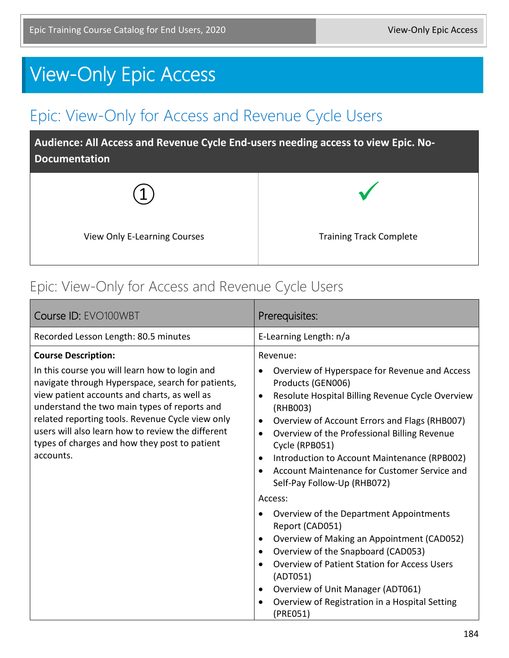# View-Only Epic Access

## Epic: View-Only for Access and Revenue Cycle Users

**Audience: All Access and Revenue Cycle End-users needing access to view Epic. No-Documentation**



#### Epic: View-Only for Access and Revenue Cycle Users

| Course ID: EVO100WBT                                                                                                                                                                                                                                                                                                                                                       | Prerequisites:                                                                                                                                                                                                                                                                                                                                                                                                                                                     |
|----------------------------------------------------------------------------------------------------------------------------------------------------------------------------------------------------------------------------------------------------------------------------------------------------------------------------------------------------------------------------|--------------------------------------------------------------------------------------------------------------------------------------------------------------------------------------------------------------------------------------------------------------------------------------------------------------------------------------------------------------------------------------------------------------------------------------------------------------------|
| Recorded Lesson Length: 80.5 minutes                                                                                                                                                                                                                                                                                                                                       | E-Learning Length: n/a                                                                                                                                                                                                                                                                                                                                                                                                                                             |
| <b>Course Description:</b>                                                                                                                                                                                                                                                                                                                                                 | Revenue:                                                                                                                                                                                                                                                                                                                                                                                                                                                           |
| In this course you will learn how to login and<br>navigate through Hyperspace, search for patients,<br>view patient accounts and charts, as well as<br>understand the two main types of reports and<br>related reporting tools. Revenue Cycle view only<br>users will also learn how to review the different<br>types of charges and how they post to patient<br>accounts. | Overview of Hyperspace for Revenue and Access<br>$\bullet$<br>Products (GEN006)<br>Resolute Hospital Billing Revenue Cycle Overview<br>$\bullet$<br>(RHB003)<br>Overview of Account Errors and Flags (RHB007)<br>$\bullet$<br>Overview of the Professional Billing Revenue<br>$\bullet$<br>Cycle (RPB051)<br>Introduction to Account Maintenance (RPB002)<br>$\bullet$<br>Account Maintenance for Customer Service and<br>$\bullet$<br>Self-Pay Follow-Up (RHB072) |
|                                                                                                                                                                                                                                                                                                                                                                            | Access:                                                                                                                                                                                                                                                                                                                                                                                                                                                            |
|                                                                                                                                                                                                                                                                                                                                                                            | Overview of the Department Appointments<br>$\bullet$<br>Report (CAD051)<br>Overview of Making an Appointment (CAD052)<br>$\bullet$<br>Overview of the Snapboard (CAD053)<br>$\bullet$<br><b>Overview of Patient Station for Access Users</b><br>$\bullet$<br>(ADT051)<br>Overview of Unit Manager (ADT061)<br>$\bullet$<br>Overview of Registration in a Hospital Setting<br>$\bullet$<br>(PRE051)                                                                 |